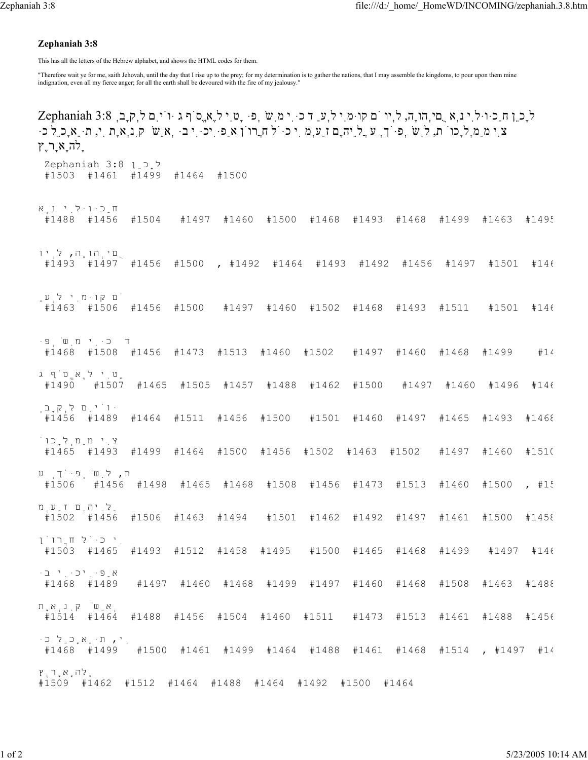## **Zephaniah 3:8**

This has all the letters of the Hebrew alphabet, and shows the HTML codes for them.

"Therefore wait ye for me, saith Jehovah, until the day that I rise up to the prey; for my determination is to gather the nations, that I may assemble the kingdoms, to pour upon them mine indignation, even all my fierce anger; for all the earth shall be devoured with the fire of my jealousy."

לָכֵן חַכּוּלִי נְא ֻםיְהוָה, לְיו ֹם קוּמִי לְעַ ד כִּי מִשְׁפּ ָטִי לֶאֱסֹף ג ּוֹיִם לְקָבְ 3:8 Zephaniah צִי מַמְלָכוֹ ת, לִשְׁפֹּךְ ע ֲלֵיהֶם זַעְמ ִי כֹּל חֲרוֹן אַפִּיכִּי בּ ְאֵשׁ קִנְאָת ִי, תֵּאָכֵל כּ ָלהָאָרֶץ לָכֵן 3:8 Zephaniah #1503 #1461 #1499 #1464 #1500 חַכּוּלִי נְא #1488 #1456 #1504 #1497 #1460 #1500 #1468 #1493 #1468 #1499 #1463 #1495 ֻםיְהוָה, לְיו #1493 #1497 #1456 #1500 , #1492 #1464 #1493 #1492 #1456 #1497 #1501 #146 ֹם קוּמִי לְעַ #1463 #1506 #1456 #1500 #1497 #1460 #1502 #1468 #1493 #1511 #1501 #146 ד כִּי מִשְׁפּ #1468 #1508 #1456 #1473 #1513 #1460 #1502 #1497 #1460 #1468 #1499 #14 ָטִי לֶא<sub>ֶ</sub>ס<sup>ְ</sup>ף ג<br>1507# 1490# #1490 #1507 #1465 #1505 #1457 #1488 #1462 #1500 #1497 #1460 #1496 #146 ּוֹיִם לְקָבְ #1456 #1489 #1464 #1511 #1456 #1500 #1501 #1460 #1497 #1465 #1493 #1468 צִי מַמְלָכוֹ #1465 #1493 #1499 #1464 #1500 #1456 #1502 #1463 #1502 #1497 #1460 #1510 ת**,** לְשׁׁפִּיֹךָ ע<br>1456# 1506# #1506 #1456 #1498 #1465 #1468 #1508 #1456 #1473 #1513 #1460 #1500 , #15 ֲלֵיהֶם זַעְמ #1502 #1456 #1506 #1463 #1494 #1501 #1462 #1492 #1497 #1461 #1500 #1458 ִי כֹּל חֲרוֹן #1503 #1465 #1493 #1512 #1458 #1495 #1500 #1465 #1468 #1499 #1497 #146 אַפִּיכִּי בּ #1468 #1489 #1497 #1460 #1468 #1499 #1497 #1460 #1468 #1508 #1463 #1488 ְאֵשׁ קִנְאָת #1514 #1464 #1488 #1456 #1504 #1460 #1511 #1473 #1513 #1461 #1488 #1456 ִי, תֵּאָכֵל כּ #1468 #1499 #1500 #1461 #1499 #1464 #1488 #1461 #1468 #1514 , #1497 #14 ָלהָאָרֶץ #1509 #1462 #1512 #1464 #1488 #1464 #1492 #1500 #1464